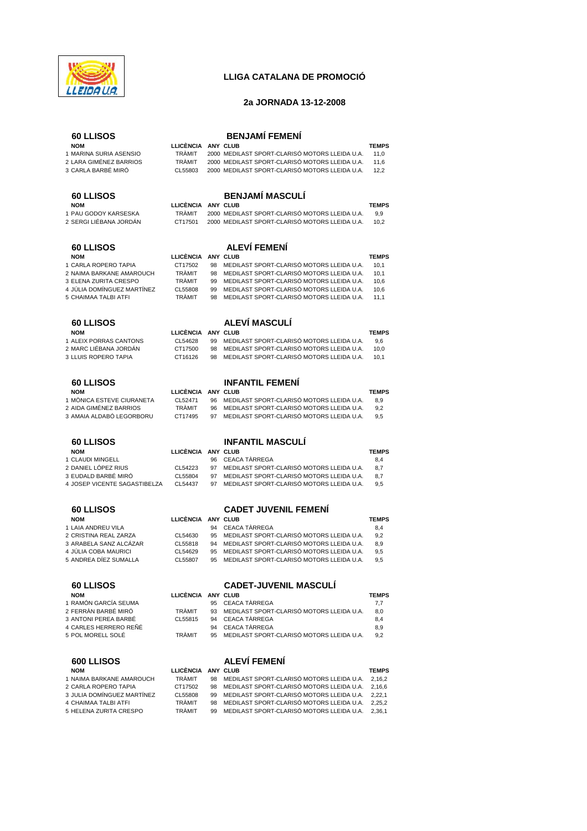

## **LLIGA CATALANA DE PROMOCIÓ**

## **2a JORNADA 13-12-2008**

| <b>60 LLISOS</b><br><b>NOM</b>                                         | LLICÈNCIA ANY CLUB                           |          | <b>BENJAMÍ FEMENÍ</b>                                                                                                                              | <b>TEMPS</b>                |
|------------------------------------------------------------------------|----------------------------------------------|----------|----------------------------------------------------------------------------------------------------------------------------------------------------|-----------------------------|
| 1 MARINA SURIA ASENSIO<br>2 LARA GIMÉNEZ BARRIOS<br>3 CARLA BARBÉ MIRÓ | <b>TRÀMIT</b><br><b>TRÀMIT</b><br>CL55803    |          | 2000 MEDILAST SPORT-CLARISÓ MOTORS LLEIDA U.A.<br>2000 MEDILAST SPORT-CLARISÓ MOTORS LLEIDA U.A.<br>2000 MEDILAST SPORT-CLARISÓ MOTORS LLEIDA U.A. | 11,0<br>11,6<br>12,2        |
| 60 LLISOS                                                              |                                              |          | <b>BENJAMÍ MASCULÍ</b>                                                                                                                             |                             |
| <b>NOM</b><br>1 PAU GODOY KARSESKA<br>2 SERGI LIÉBANA JORDÁN           | <b>LLICÈNCIA</b><br><b>TRÀMIT</b><br>CT17501 |          | ANY CLUB<br>2000 MEDILAST SPORT-CLARISÓ MOTORS LLEIDA U.A.<br>2000 MEDILAST SPORT-CLARISÓ MOTORS LLEIDA U.A.                                       | <b>TEMPS</b><br>9,9<br>10,2 |
| <b>60 LLISOS</b>                                                       |                                              |          | <b>ALEVÍ FEMENÍ</b>                                                                                                                                |                             |
| <b>NOM</b><br>1 CARLA ROPERO TAPIA                                     | <b>LLICÈNCIA</b><br>CT17502                  | 98       | ANY CLUB<br>MEDILAST SPORT-CLARISÓ MOTORS LLEIDA U.A.                                                                                              | <b>TEMPS</b><br>10,1        |
| 2 NAIMA BARKANE AMAROUCH                                               | <b>TRÀMIT</b>                                | 98       | MEDILAST SPORT-CLARISÓ MOTORS LLEIDA U.A.                                                                                                          | 10,1                        |
| 3 ELENA ZURITA CRESPO                                                  | <b>TRAMIT</b>                                | 99       | MEDILAST SPORT-CLARISÓ MOTORS LLEIDA U.A.                                                                                                          | 10,6                        |
| 4 JÚLIA DOMÍNGUEZ MARTÍNEZ<br>5 CHAIMAA TALBI ATFI                     | CL55808<br><b>TRÀMIT</b>                     | 99<br>98 | MEDILAST SPORT-CLARISÓ MOTORS LLEIDA U.A.<br>MEDILAST SPORT-CLARISÓ MOTORS LLEIDA U.A.                                                             | 10,6<br>11,1                |
| 60 LLISOS                                                              |                                              |          | ALEVÍ MASCULÍ                                                                                                                                      |                             |
| <b>NOM</b><br>1 ALEIX PORRAS CANTONS                                   | LLICÈNCIA                                    |          | ANY CLUB                                                                                                                                           | <b>TEMPS</b>                |
| 2 MARC LIÉBANA JORDAN                                                  | CL54628<br>CT17500                           | 99<br>98 | MEDILAST SPORT-CLARISÓ MOTORS LLEIDA U.A.<br>MEDILAST SPORT-CLARISÓ MOTORS LLEIDA U.A.                                                             | 9,6<br>10,0                 |
| 3 LLUIS ROPERO TAPIA                                                   | CT16126                                      | 98       | MEDILAST SPORT-CLARISÓ MOTORS LLEIDA U.A.                                                                                                          | 10,1                        |
| <b>60 LLISOS</b>                                                       |                                              |          | <b>INFANTIL FEMENI</b>                                                                                                                             |                             |
| <b>NOM</b><br>1 MÒNICA ESTEVE CIURANETA                                | LLICÈNCIA ANY CLUB<br>CL52471                | 96       | MEDILAST SPORT-CLARISÓ MOTORS LLEIDA U.A.                                                                                                          | <b>TEMPS</b><br>8,9         |
| 2 AIDA GIMÉNEZ BARRIOS                                                 | <b>TRÀMIT</b>                                | 96       | MEDILAST SPORT-CLARISÓ MOTORS LLEIDA U.A.                                                                                                          | 9,2                         |
| 3 AMAIA ALDABÓ LEGORBORU                                               | CT17495                                      | 97       | MEDILAST SPORT-CLARISÓ MOTORS LLEIDA U.A.                                                                                                          | 9,5                         |
| <b>60 LLISOS</b>                                                       |                                              |          | <b>INFANTIL MASCULI</b>                                                                                                                            |                             |
| <b>NOM</b><br>1 CLAUDI MINGELL                                         | LLICÉNCIA                                    | 96       | ANY CLUB<br>CEACA TÀRREGA                                                                                                                          | <b>TEMPS</b><br>8,4         |
| 2 DANIEL LÓPEZ RIUS                                                    | CL54223                                      | 97       | MEDILAST SPORT-CLARISO MOTORS LLEIDA U.A.                                                                                                          | 8,7                         |
| 3 EUDALD BARBÉ MIRÓ<br>4 JOSEP VICENTE SAGASTIBELZA                    | CL55804<br>CL54437                           | 97<br>97 | MEDILAST SPORT-CLARISÓ MOTORS LLEIDA U.A.<br>MEDILAST SPORT-CLARISÓ MOTORS LLEIDA U.A.                                                             | 8,7<br>9,5                  |
| <b>60 LLISOS</b>                                                       |                                              |          | <b>CADET JUVENIL FEMENI</b>                                                                                                                        |                             |
| <b>NOM</b>                                                             | LLICÈNCIA ANY CLUB                           |          |                                                                                                                                                    | <b>TEMPS</b>                |
| 1 LAIA ANDREU VILA<br>2 CRISTINA REAL ZARZA                            | CL54630                                      | 94<br>95 | CEACA TÀRREGA<br>MEDILAST SPORT-CLARISÓ MOTORS LLEIDA U.A.                                                                                         | 8,4<br>9,2                  |
| 3 ARABELA SANZ ALCÁZAR                                                 | CL55818                                      | 94       | MEDILAST SPORT-CLARISÓ MOTORS LLEIDA U.A.                                                                                                          | 8,9                         |
| 4 JULIA COBA MAURICI<br>5 ANDREA DIEZ SUMALLA                          | CL54629<br>CL55807                           | 95<br>95 | MEDILAST SPORT-CLARISÓ MOTORS LLEIDA U.A.<br>MEDILAST SPORT-CLARISÓ MOTORS LLEIDA U.A.                                                             | 9,5<br>9,5                  |
| <b>60 LLISOS</b>                                                       |                                              |          | <b>CADET-JUVENIL MASCULI</b>                                                                                                                       |                             |
| <b>NOM</b><br>1 RAMÓN GARCÍA SEUMA                                     | LLICÈNCIA ANY CLUB                           | 95       |                                                                                                                                                    | <b>TEMPS</b>                |
| 2 FERRÀN BARBÉ MIRÓ                                                    | TRÀMIT                                       | 93       | CEACA TÀRREGA<br>MEDILAST SPORT-CLARISÓ MOTORS LLEIDA U.A.                                                                                         | 7,7<br>8,0                  |
| 3 ANTONI PEREA BARBÉ                                                   | CL55815                                      | 94       | CEACA TÀRREGA                                                                                                                                      | 8,4                         |
| 4 CARLES HERRERO REÑÉ<br>5 POL MORELL SOLÉ                             | TRÀMIT                                       | 94<br>95 | <b>CEACA TÀRREGA</b><br>MEDILAST SPORT-CLARISÓ MOTORS LLEIDA U.A.                                                                                  | 8,9<br>9,2                  |
| <b>600 LLISOS</b>                                                      |                                              |          | <b>ALEVÍ FEMENÍ</b>                                                                                                                                |                             |
| <b>NOM</b>                                                             | LLICÈNCIA ANY CLUB                           |          |                                                                                                                                                    | <b>TEMPS</b>                |
| 1 NAIMA BARKANE AMAROUCH<br>2 CARLA ROPERO TAPIA                       | TRÀMIT<br>CT17502                            | 98<br>98 | MEDILAST SPORT-CLARISÓ MOTORS LLEIDA U.A.<br>MEDILAST SPORT-CLARISÓ MOTORS LLEIDA U.A.                                                             | 2,16,2<br>2,16,6            |
| 3 JULIA DOMÍNGUEZ MARTÍNEZ                                             | CL55808                                      | 99       | MEDILAST SPORT-CLARISÓ MOTORS LLEIDA U.A.                                                                                                          | 2,22,1                      |
| 4 CHAIMAA TALBI ATFI                                                   | TRAMIT                                       | 98       | MEDILAST SPORT-CLARISÓ MOTORS LLEIDA U.A.<br>MEDILAST SPORT-CLARISÓ MOTORS LLEIDA U.A.                                                             | 2,25,2<br>2,36,1            |
| 5 HELENA ZURITA CRESPO                                                 | TRÀMIT                                       | 99       |                                                                                                                                                    |                             |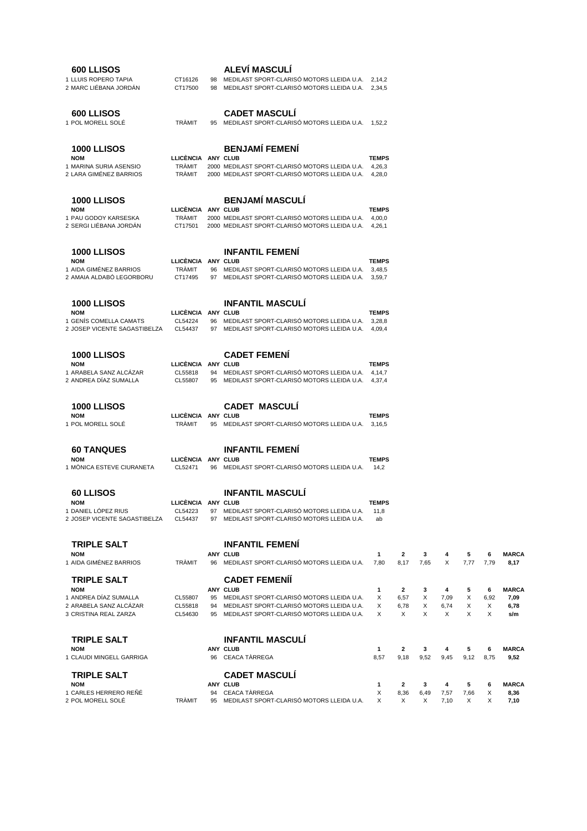| 600 LLISOS<br>1 LLUIS ROPERO TAPIA<br>2 MARC LIÉBANA JORDÁN                                                  | CT16126<br>CT17500                                   | 98 | ALEVÍ MASCULÍ<br>98 MEDILAST SPORT-CLARISÓ MOTORS LLEIDA U.A.<br>MEDILAST SPORT-CLARISO MOTORS LLEIDA U.A.                                                                       | 2,14,2<br>2,34,5                 |                                   |                  |                        |                  |                     |                                     |
|--------------------------------------------------------------------------------------------------------------|------------------------------------------------------|----|----------------------------------------------------------------------------------------------------------------------------------------------------------------------------------|----------------------------------|-----------------------------------|------------------|------------------------|------------------|---------------------|-------------------------------------|
| <b>600 LLISOS</b><br>1 POL MORELL SOLÉ                                                                       | <b>TRÀMIT</b>                                        | 95 | <b>CADET MASCULI</b><br>MEDILAST SPORT-CLARISÓ MOTORS LLEIDA U.A.                                                                                                                | 1,52,2                           |                                   |                  |                        |                  |                     |                                     |
| <b>1000 LLISOS</b><br><b>NOM</b><br>1 MARINA SURIA ASENSIO<br>2 LARA GIMÉNEZ BARRIOS                         | LLICÈNCIA ANY CLUB<br><b>TRAMIT</b><br><b>TRÀMIT</b> |    | <b>BENJAMÍ FEMENÍ</b><br>2000 MEDILAST SPORT-CLARISÓ MOTORS LLEIDA U.A.<br>2000 MEDILAST SPORT-CLARISÓ MOTORS LLEIDA U.A.                                                        | <b>TEMPS</b><br>4,26,3<br>4,28,0 |                                   |                  |                        |                  |                     |                                     |
| <b>1000 LLISOS</b><br><b>NOM</b><br>1 PAU GODOY KARSESKA<br>2 SERGI LIÉBANA JORDAN                           | LLICÈNCIA ANY CLUB<br><b>TRÀMIT</b><br>CT17501       |    | <b>BENJAMÍ MASCULÍ</b><br>2000 MEDILAST SPORT-CLARISÓ MOTORS LLEIDA U.A.<br>2000 MEDILAST SPORT-CLARISÓ MOTORS LLEIDA U.A. 4,26,1                                                | <b>TEMPS</b><br>4,00,0           |                                   |                  |                        |                  |                     |                                     |
| <b>1000 LLISOS</b><br><b>NOM</b><br>1 AIDA GIMÉNEZ BARRIOS<br>2 AMAIA ALDABÓ LEGORBORU                       | LLICÈNCIA ANY CLUB<br><b>TRÀMIT</b><br>CT17495       |    | <b>INFANTIL FEMENI</b><br>96 MEDILAST SPORT-CLARISÓ MOTORS LLEIDA U.A.<br>97 MEDILAST SPORT-CLARISÓ MOTORS LLEIDA U.A.                                                           | <b>TEMPS</b><br>3,48,5<br>3.59.7 |                                   |                  |                        |                  |                     |                                     |
| <b>1000 LLISOS</b><br><b>NOM</b><br>1 GENIS COMELLA CAMATS<br>2 JOSEP VICENTE SAGASTIBELZA                   | LLICENCIA ANY CLUB<br>CL54224<br>CL54437             | 97 | <b>INFANTIL MASCULÍ</b><br>96 MEDILAST SPORT-CLARISÓ MOTORS LLEIDA U.A.<br>MEDILAST SPORT-CLARISÓ MOTORS LLEIDA U.A. 4,09,4                                                      | <b>TEMPS</b><br>3,28,8           |                                   |                  |                        |                  |                     |                                     |
| <b>1000 LLISOS</b><br><b>NOM</b><br>1 ARABELA SANZ ALCÁZAR<br>2 ANDREA DÍAZ SUMALLA                          | LLICÉNCIA<br>CL55818<br>CL55807                      |    | <b>CADET FEMENI</b><br>ANY CLUB<br>94 MEDILAST SPORT-CLARISÓ MOTORS LLEIDA U.A. 4,14,7<br>95 MEDILAST SPORT-CLARISÓ MOTORS LLEIDA U.A. 4,37,4                                    | <b>TEMPS</b>                     |                                   |                  |                        |                  |                     |                                     |
| <b>1000 LLISOS</b><br><b>NOM</b><br>1 POL MORELL SOLE                                                        | LLICÈNCIA ANY CLUB<br><b>TRAMIT</b>                  |    | <b>CADET MASCULI</b><br>95 MEDILAST SPORT-CLARISÓ MOTORS LLEIDA U.A. 3,16,5                                                                                                      | <b>TEMPS</b>                     |                                   |                  |                        |                  |                     |                                     |
| 60 TANQUES<br><b>NOM</b><br>1 MÓNICA ESTEVE CIURANETA                                                        | LLICÉNCIA<br>CL52471                                 | 96 | <b>INFANTIL FEMENÍ</b><br>ANY CLUB<br>MEDILAST SPORT-CLARISÓ MOTORS LLEIDA U.A.                                                                                                  | <b>TEMPS</b><br>14.2             |                                   |                  |                        |                  |                     |                                     |
| 60 LLISOS<br>NOM<br>1 DANIEL LÓPEZ RIUS<br>2 JOSEP VICENTE SAGASTIBELZA                                      | LLICÈNCIA ANY CLUB<br>CL54223<br>CL54437             |    | <b>INFANTIL MASCULI</b><br>97 MEDILAST SPORT-CLARISÓ MOTORS LLEIDA U.A.<br>97 MEDILAST SPORT-CLARISÓ MOTORS LLEIDA U.A.                                                          | <b>TEMPS</b><br>11,8<br>ab       |                                   |                  |                        |                  |                     |                                     |
| <b>TRIPLE SALT</b><br><b>NOM</b><br>1 AIDA GIMÉNEZ BARRIOS                                                   | <b>TRÀMIT</b>                                        | 96 | <b>INFANTIL FEMENI</b><br><b>ANY CLUB</b><br>MEDILAST SPORT-CLARISÓ MOTORS LLEIDA U.A.                                                                                           | 1<br>7.80                        | 2<br>8,17                         | 3<br>7,65        | 4<br>X                 | 5<br>7,77        | 6<br>7,79           | <b>MARCA</b><br>8,17                |
| <b>TRIPLE SALT</b><br><b>NOM</b><br>1 ANDREA DÍAZ SUMALLA<br>2 ARABELA SANZ ALCAZAR<br>3 CRISTINA REAL ZARZA | CL55807<br>CL55818<br>CL54630                        |    | <b>CADET FEMENII</b><br>ANY CLUB<br>95 MEDILAST SPORT-CLARISÓ MOTORS LLEIDA U.A.<br>94 MEDILAST SPORT-CLARISÓ MOTORS LLEIDA U.A.<br>95 MEDILAST SPORT-CLARISÓ MOTORS LLEIDA U.A. | 1<br>Χ<br>Χ<br>X                 | $\mathbf{2}$<br>6,57<br>6,78<br>X | 3<br>Х<br>Χ<br>X | 4<br>7,09<br>6,74<br>X | 5<br>Χ<br>Χ<br>X | 6<br>6,92<br>X<br>X | <b>MARCA</b><br>7,09<br>6,78<br>s/m |
| <b>TRIPLE SALT</b><br><b>NOM</b><br>1 CLAUDI MINGELL GARRIGA                                                 |                                                      |    | <b>INFANTIL MASCULI</b><br>ANY CLUB<br>96 CEACA TÀRREGA                                                                                                                          | 1<br>8,57                        | 2<br>9,18                         | 3<br>9,52        | 4<br>9,45              | 5<br>9,12        | 6<br>8,75           | <b>MARCA</b><br>9,52                |
| <b>TRIPLE SALT</b><br><b>NOM</b><br>1 CARLES HERRERO REÑÉ<br>2 POL MORELL SOLÉ                               | TRAMIT                                               |    | <b>CADET MASCULI</b><br>ANY CLUB<br>94 CEACA TÀRREGA<br>95 MEDILAST SPORT-CLARISÓ MOTORS LLEIDA U.A.                                                                             | 1<br>Χ<br>X                      | 2<br>8,36<br>X                    | 3<br>6,49<br>Χ   | 4<br>7,57<br>7,10      | 5<br>7,66<br>X   | 6<br>Х<br>Χ         | <b>MARCA</b><br>8,36<br>7,10        |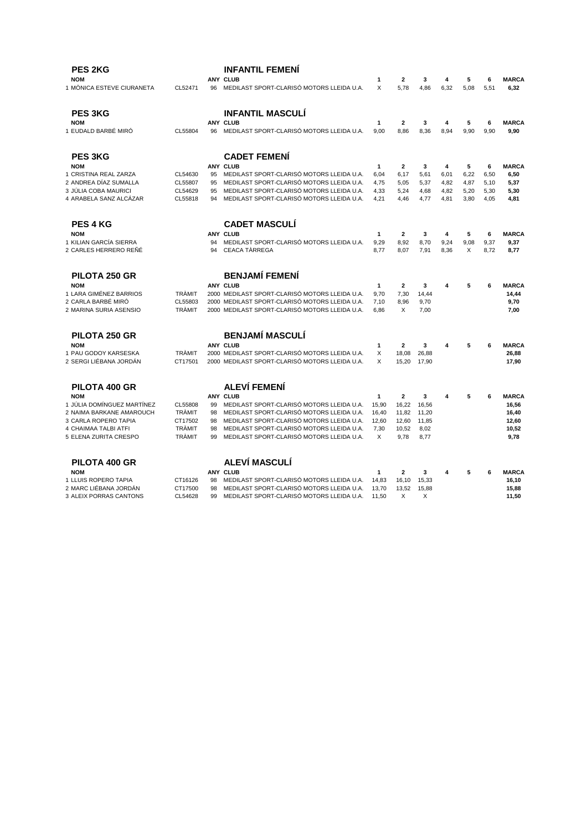| <b>PES 2KG</b>                                      |                          |          | <b>INFANTIL FEMENI</b>                                                                 |                      |                        |              |              |              |              |                       |
|-----------------------------------------------------|--------------------------|----------|----------------------------------------------------------------------------------------|----------------------|------------------------|--------------|--------------|--------------|--------------|-----------------------|
| <b>NOM</b>                                          |                          |          | <b>ANY CLUB</b>                                                                        | 1                    | 2                      | 3            | 4            | 5            | 6            | <b>MARCA</b>          |
| 1 MÒNICA ESTEVE CIURANETA                           | CL52471                  | 96       | MEDILAST SPORT-CLARISÓ MOTORS LLEIDA U.A.                                              | X                    | 5,78                   | 4,86         | 6,32         | 5,08         | 5,51         | 6,32                  |
| PES 3KG                                             |                          |          | <b>INFANTIL MASCULI</b>                                                                |                      |                        |              |              |              |              |                       |
| <b>NOM</b>                                          |                          |          | <b>ANY CLUB</b>                                                                        | 1                    | $\mathbf 2$            | 3            | 4            | 5            | 6            | <b>MARCA</b>          |
| 1 EUDALD BARBÉ MIRÓ                                 | CL55804                  | 96       | MEDILAST SPORT-CLARISÓ MOTORS LLEIDA U.A.                                              | 9.00                 | 8.86                   | 8,36         | 8,94         | 9.90         | 9,90         | 9,90                  |
| <b>PES 3KG</b>                                      |                          |          | <b>CADET FEMENÍ</b>                                                                    |                      |                        |              |              |              |              |                       |
| <b>NOM</b>                                          |                          |          | <b>ANY CLUB</b>                                                                        | 1                    | $\mathbf{2}$           | 3            | 4            | 5            | 6            | <b>MARCA</b>          |
| 1 CRISTINA REAL ZARZA                               | CL54630                  | 95       | MEDILAST SPORT-CLARISÓ MOTORS LLEIDA U.A.                                              | 6.04                 | 6,17                   | 5,61         | 6,01         | 6,22         | 6,50         | 6,50                  |
| 2 ANDREA DÍAZ SUMALLA                               | CL55807                  | 95       | MEDILAST SPORT-CLARISÓ MOTORS LLEIDA U.A.                                              | 4,75                 | 5,05                   | 5,37         | 4,82         | 4,87         | 5,10         | 5,37                  |
| 3 JÚLIA COBA MAURICI<br>4 ARABELA SANZ ALCÁZAR      | CL54629<br>CL55818       | 95<br>94 | MEDILAST SPORT-CLARISÓ MOTORS LLEIDA U.A.<br>MEDILAST SPORT-CLARISÓ MOTORS LLEIDA U.A. | 4,33<br>4,21         | 5,24<br>4,46           | 4,68<br>4,77 | 4,82<br>4,81 | 5,20<br>3,80 | 5,30<br>4,05 | 5,30<br>4,81          |
|                                                     |                          |          |                                                                                        |                      |                        |              |              |              |              |                       |
| <b>PES 4 KG</b>                                     |                          |          | <b>CADET MASCULÍ</b>                                                                   |                      |                        |              |              |              |              |                       |
| <b>NOM</b><br>1 KILIAN GARCÍA SIERRA                |                          | 94       | ANY CLUB<br>MEDILAST SPORT-CLARISÓ MOTORS LLEIDA U.A.                                  | 1<br>9,29            | $\overline{2}$<br>8,92 | 3<br>8,70    | 4<br>9,24    | 5<br>9,08    | 6<br>9,37    | <b>MARCA</b><br>9,37  |
| 2 CARLES HERRERO REÑÉ                               |                          | 94       | <b>CEACA TÀRREGA</b>                                                                   | 8,77                 | 8,07                   | 7,91         | 8,36         | X            | 8,72         | 8,77                  |
| PILOTA 250 GR                                       |                          |          | <b>BENJAMÍ FEMENÍ</b>                                                                  |                      |                        |              |              |              |              |                       |
|                                                     |                          |          |                                                                                        |                      |                        |              |              |              |              |                       |
| <b>NOM</b><br>1 LARA GIMÉNEZ BARRIOS                | <b>TRÀMIT</b>            |          | ANY CLUB<br>2000 MEDILAST SPORT-CLARISÓ MOTORS LLEIDA U.A.                             | $\mathbf{1}$<br>9.70 | $\mathbf{2}$<br>7.30   | 3<br>14,44   | 4            | 5            | 6            | <b>MARCA</b><br>14,44 |
| 2 CARLA BARBÉ MIRÓ                                  | CL55803                  |          | 2000 MEDILAST SPORT-CLARISÓ MOTORS LLEIDA U.A.                                         | 7,10                 | 8,96                   | 9,70         |              |              |              | 9,70                  |
| 2 MARINA SURIA ASENSIO                              | <b>TRÀMIT</b>            |          | 2000 MEDILAST SPORT-CLARISÓ MOTORS LLEIDA U.A.                                         | 6.86                 | X                      | 7,00         |              |              |              | 7,00                  |
| PILOTA 250 GR                                       |                          |          | <b>BENJAMÍ MASCULÍ</b>                                                                 |                      |                        |              |              |              |              |                       |
| <b>NOM</b>                                          |                          |          | ANY CLUB                                                                               | 1                    | $\overline{a}$         | 3            | 4            | 5            | 6            | <b>MARCA</b>          |
| 1 PAU GODOY KARSESKA                                | <b>TRÀMIT</b>            |          | 2000 MEDILAST SPORT-CLARISÓ MOTORS LLEIDA U.A.                                         | X                    | 18,08                  | 26,88        |              |              |              | 26,88                 |
| 2 SERGI LIÉBANA JORDÁN                              | CT17501                  |          | 2000 MEDILAST SPORT-CLARISÓ MOTORS LLEIDA U.A.                                         | X                    | 15,20                  | 17,90        |              |              |              | 17,90                 |
| PILOTA 400 GR                                       |                          |          | <b>ALEVÍ FEMENÍ</b>                                                                    |                      |                        |              |              |              |              |                       |
| <b>NOM</b>                                          |                          |          | ANY CLUB                                                                               | $\mathbf{1}$         | $\overline{2}$         | 3            | 4            | 5            | 6            | <b>MARCA</b>          |
| 1 JÚLIA DOMÍNGUEZ MARTÍNEZ                          | CL55808                  | 99       | MEDILAST SPORT-CLARISÓ MOTORS LLEIDA U.A.                                              | 15,90                | 16,22                  | 16,56        |              |              |              | 16,56                 |
| 2 NAIMA BARKANE AMAROUCH                            | <b>TRÀMIT</b>            | 98       | MEDILAST SPORT-CLARISÓ MOTORS LLEIDA U.A.                                              | 16,40                | 11,82                  | 11,20        |              |              |              | 16,40                 |
| 3 CARLA ROPERO TAPIA<br><b>4 CHAIMAA TALBI ATFI</b> | CT17502<br><b>TRÀMIT</b> | 98<br>98 | MEDILAST SPORT-CLARISÓ MOTORS LLEIDA U.A.<br>MEDILAST SPORT-CLARISÓ MOTORS LLEIDA U.A. | 12.60                | 12,60                  | 11,85        |              |              |              | 12,60                 |
| 5 ELENA ZURITA CRESPO                               | <b>TRÀMIT</b>            | 99       | MEDILAST SPORT-CLARISÓ MOTORS LLEIDA U.A.                                              | 7,30<br>X            | 10,52<br>9.78          | 8,02<br>8,77 |              |              |              | 10,52<br>9,78         |
| PILOTA 400 GR                                       |                          |          | <b>ALEVÍ MASCULÍ</b>                                                                   |                      |                        |              |              |              |              |                       |
| <b>NOM</b>                                          |                          |          | <b>ANY CLUB</b>                                                                        | $\mathbf{1}$         | $\mathbf{2}$           | 3            | 4            | 5            | 6            | <b>MARCA</b>          |
| 1 LLUIS ROPERO TAPIA                                | CT16126                  | 98       | MEDILAST SPORT-CLARISÓ MOTORS LLEIDA U.A.                                              | 14.83                | 16.10                  | 15.33        |              |              |              | 16.10                 |
| 2 MARC LIÉBANA JORDÁN                               | CT17500                  | 98       | MEDILAST SPORT-CLARISÓ MOTORS LLEIDA U.A.                                              | 13.70                | 13,52                  | 15.88        |              |              |              | 15,88                 |
| 3 ALEIX PORRAS CANTONS                              | CL54628                  | 99       | MEDILAST SPORT-CLARISÓ MOTORS LLEIDA U.A.                                              | 11.50                | X                      | X            |              |              |              | 11,50                 |